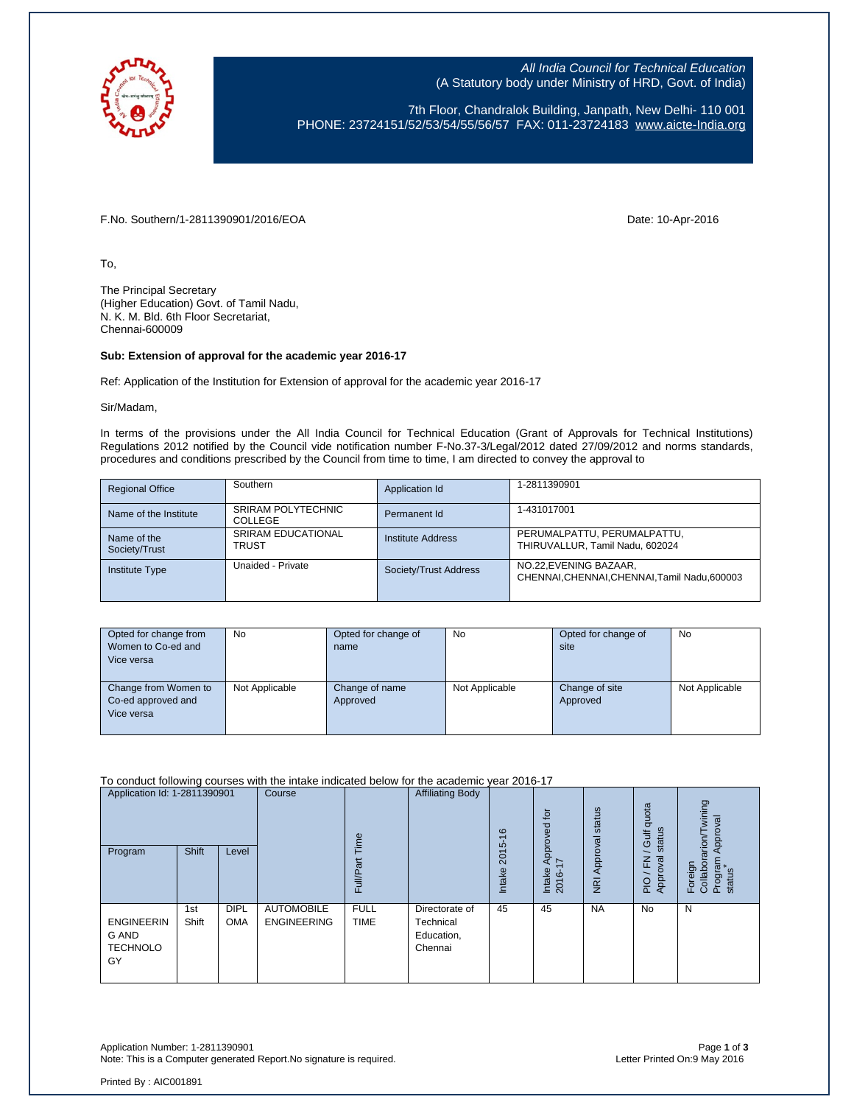

All India Council for Technical Education (A Statutory body under Ministry of HRD, Govt. of India)

7th Floor, Chandralok Building, Janpath, New Delhi- 110 001 PHONE: 23724151/52/53/54/55/56/57 FAX: 011-23724183 [www.aicte-India.org](http://www.aicte-india.org/)

F.No. Southern/1-2811390901/2016/EOA Date: 10-Apr-2016

To,

The Principal Secretary (Higher Education) Govt. of Tamil Nadu, N. K. M. Bld. 6th Floor Secretariat, Chennai-600009

## **Sub: Extension of approval for the academic year 2016-17**

Ref: Application of the Institution for Extension of approval for the academic year 2016-17

Sir/Madam,

In terms of the provisions under the All India Council for Technical Education (Grant of Approvals for Technical Institutions) Regulations 2012 notified by the Council vide notification number F-No.37-3/Legal/2012 dated 27/09/2012 and norms standards, procedures and conditions prescribed by the Council from time to time, I am directed to convey the approval to

| <b>Regional Office</b>       | Southern                                  | Application Id           | 1-2811390901                                                            |
|------------------------------|-------------------------------------------|--------------------------|-------------------------------------------------------------------------|
| Name of the Institute        | <b>SRIRAM POLYTECHNIC</b><br>COLLEGE      | Permanent Id             | 1-431017001                                                             |
| Name of the<br>Society/Trust | <b>SRIRAM EDUCATIONAL</b><br><b>TRUST</b> | <b>Institute Address</b> | PERUMALPATTU, PERUMALPATTU,<br>THIRUVALLUR. Tamil Nadu, 602024          |
| <b>Institute Type</b>        | Unaided - Private                         | Society/Trust Address    | NO.22, EVENING BAZAAR,<br>CHENNAI, CHENNAI, CHENNAI, Tamil Nadu, 600003 |

| Opted for change from<br>Women to Co-ed and<br>Vice versa | No             | Opted for change of<br>name | No             | Opted for change of<br>site | <b>No</b>      |
|-----------------------------------------------------------|----------------|-----------------------------|----------------|-----------------------------|----------------|
| Change from Women to<br>Co-ed approved and<br>Vice versa  | Not Applicable | Change of name<br>Approved  | Not Applicable | Change of site<br>Approved  | Not Applicable |

To conduct following courses with the intake indicated below for the academic year 2016-17

| Application Id: 1-2811390901<br>Program                    | Shift        | Level                     | Course                                  | Time<br>āť<br>Full/P       | <b>Affiliating Body</b>                              | $\frac{6}{5}$<br>2015<br>Intake | $\overline{5}$<br>Approved<br>∼<br>Intake<br>2016- | NRI Approval status | quota<br>status<br>Gulf<br>준<br>ख़<br>Appro<br>$\overline{P}$ | wining<br>Approval<br>arion/T<br>Foreign<br>Collabora<br>Program<br>status |
|------------------------------------------------------------|--------------|---------------------------|-----------------------------------------|----------------------------|------------------------------------------------------|---------------------------------|----------------------------------------------------|---------------------|---------------------------------------------------------------|----------------------------------------------------------------------------|
| <b>ENGINEERIN</b><br><b>G AND</b><br><b>TECHNOLO</b><br>GY | 1st<br>Shift | <b>DIPL</b><br><b>OMA</b> | <b>AUTOMOBILE</b><br><b>ENGINEERING</b> | <b>FULL</b><br><b>TIME</b> | Directorate of<br>Technical<br>Education,<br>Chennai | 45                              | 45                                                 | <b>NA</b>           | <b>No</b>                                                     | N                                                                          |

Application Number: 1-2811390901 Page **1** of **3** Note: This is a Computer generated Report. No signature is required.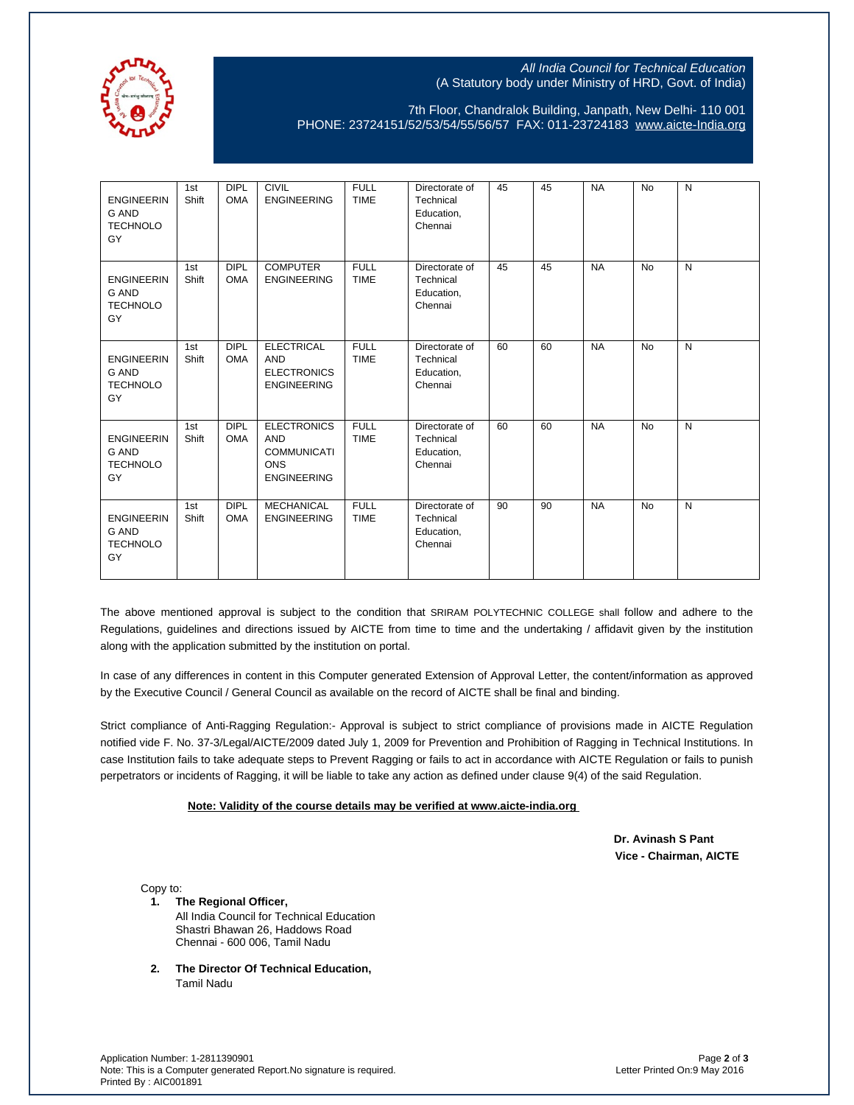

## All India Council for Technical Education (A Statutory body under Ministry of HRD, Govt. of India)

7th Floor, Chandralok Building, Janpath, New Delhi- 110 001 PHONE: 23724151/52/53/54/55/56/57 FAX: 011-23724183 [www.aicte-India.org](http://www.aicte-india.org/)

| <b>ENGINEERIN</b><br>G AND<br><b>TECHNOLO</b><br>GY        | 1st<br>Shift | <b>DIPL</b><br><b>OMA</b> | <b>CIVIL</b><br><b>ENGINEERING</b>                                                         | <b>FULL</b><br><b>TIME</b> | Directorate of<br>Technical<br>Education,<br>Chennai | 45 | 45 | <b>NA</b> | No        | N |
|------------------------------------------------------------|--------------|---------------------------|--------------------------------------------------------------------------------------------|----------------------------|------------------------------------------------------|----|----|-----------|-----------|---|
| <b>ENGINEERIN</b><br><b>G AND</b><br><b>TECHNOLO</b><br>GY | 1st<br>Shift | <b>DIPL</b><br><b>OMA</b> | <b>COMPUTER</b><br><b>ENGINEERING</b>                                                      | <b>FULL</b><br><b>TIME</b> | Directorate of<br>Technical<br>Education,<br>Chennai | 45 | 45 | <b>NA</b> | <b>No</b> | N |
| <b>ENGINEERIN</b><br><b>G AND</b><br><b>TECHNOLO</b><br>GY | 1st<br>Shift | <b>DIPL</b><br><b>OMA</b> | <b>ELECTRICAL</b><br><b>AND</b><br><b>ELECTRONICS</b><br><b>ENGINEERING</b>                | <b>FULL</b><br><b>TIME</b> | Directorate of<br>Technical<br>Education,<br>Chennai | 60 | 60 | <b>NA</b> | No        | N |
| <b>ENGINEERIN</b><br><b>G AND</b><br><b>TECHNOLO</b><br>GY | 1st<br>Shift | <b>DIPL</b><br><b>OMA</b> | <b>ELECTRONICS</b><br><b>AND</b><br><b>COMMUNICATI</b><br><b>ONS</b><br><b>ENGINEERING</b> | <b>FULL</b><br><b>TIME</b> | Directorate of<br>Technical<br>Education,<br>Chennai | 60 | 60 | <b>NA</b> | <b>No</b> | N |
| <b>ENGINEERIN</b><br><b>G AND</b><br><b>TECHNOLO</b><br>GY | 1st<br>Shift | <b>DIPL</b><br><b>OMA</b> | <b>MECHANICAL</b><br><b>ENGINEERING</b>                                                    | <b>FULL</b><br><b>TIME</b> | Directorate of<br>Technical<br>Education,<br>Chennai | 90 | 90 | <b>NA</b> | <b>No</b> | N |

The above mentioned approval is subject to the condition that SRIRAM POLYTECHNIC COLLEGE shall follow and adhere to the Regulations, guidelines and directions issued by AICTE from time to time and the undertaking / affidavit given by the institution along with the application submitted by the institution on portal.

In case of any differences in content in this Computer generated Extension of Approval Letter, the content/information as approved by the Executive Council / General Council as available on the record of AICTE shall be final and binding.

Strict compliance of Anti-Ragging Regulation:- Approval is subject to strict compliance of provisions made in AICTE Regulation notified vide F. No. 37-3/Legal/AICTE/2009 dated July 1, 2009 for Prevention and Prohibition of Ragging in Technical Institutions. In case Institution fails to take adequate steps to Prevent Ragging or fails to act in accordance with AICTE Regulation or fails to punish perpetrators or incidents of Ragging, it will be liable to take any action as defined under clause 9(4) of the said Regulation.

## **Note: Validity of the course details may be verified at www.aicte-india.org**

 **Dr. Avinash S Pant Vice - Chairman, AICTE**

Copy to:

- **1. The Regional Officer,** All India Council for Technical Education Shastri Bhawan 26, Haddows Road Chennai - 600 006, Tamil Nadu
- **2. The Director Of Technical Education,** Tamil Nadu